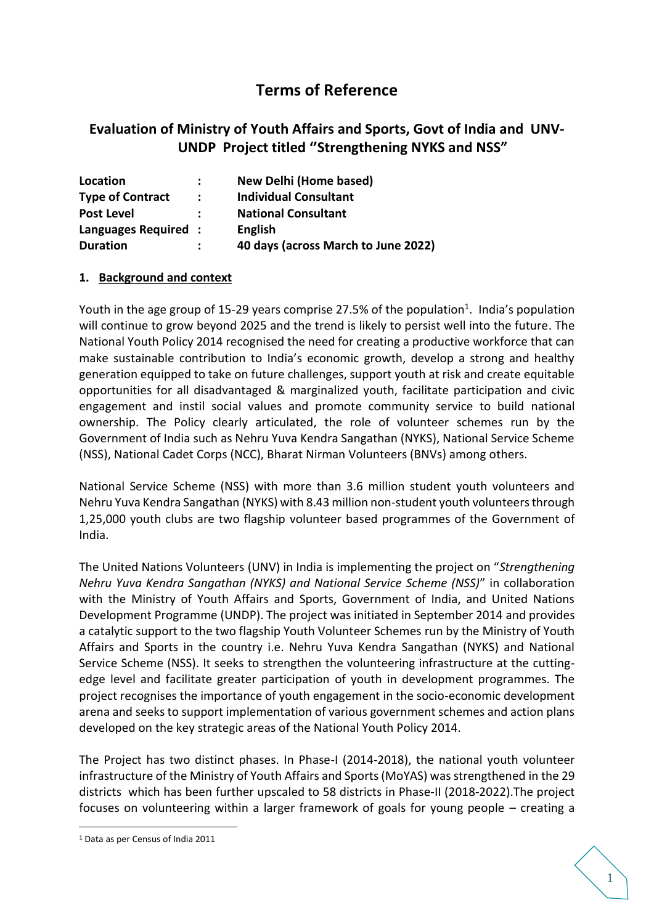# **Terms of Reference**

## **Evaluation of Ministry of Youth Affairs and Sports, Govt of India and UNV-UNDP Project titled ''Strengthening NYKS and NSS"**

| Location                | ÷                    | New Delhi (Home based)              |
|-------------------------|----------------------|-------------------------------------|
| <b>Type of Contract</b> | $\ddot{\phantom{a}}$ | <b>Individual Consultant</b>        |
| <b>Post Level</b>       |                      | <b>National Consultant</b>          |
| Languages Required:     |                      | <b>English</b>                      |
| <b>Duration</b>         |                      | 40 days (across March to June 2022) |

#### **1. Background and context**

Youth in the age group of 15-29 years comprise 27.5% of the population<sup>1</sup>. India's population will continue to grow beyond 2025 and the trend is likely to persist well into the future. The National Youth Policy 2014 recognised the need for creating a productive workforce that can make sustainable contribution to India's economic growth, develop a strong and healthy generation equipped to take on future challenges, support youth at risk and create equitable opportunities for all disadvantaged & marginalized youth, facilitate participation and civic engagement and instil social values and promote community service to build national ownership. The Policy clearly articulated, the role of volunteer schemes run by the Government of India such as Nehru Yuva Kendra Sangathan (NYKS), National Service Scheme (NSS), National Cadet Corps (NCC), Bharat Nirman Volunteers (BNVs) among others.

National Service Scheme (NSS) with more than 3.6 million student youth volunteers and Nehru Yuva Kendra Sangathan (NYKS) with 8.43 million non-student youth volunteers through 1,25,000 youth clubs are two flagship volunteer based programmes of the Government of India.

The United Nations Volunteers (UNV) in India is implementing the project on "*Strengthening Nehru Yuva Kendra Sangathan (NYKS) and National Service Scheme (NSS)*" in collaboration with the Ministry of Youth Affairs and Sports, Government of India, and United Nations Development Programme (UNDP). The project was initiated in September 2014 and provides a catalytic support to the two flagship Youth Volunteer Schemes run by the Ministry of Youth Affairs and Sports in the country i.e. Nehru Yuva Kendra Sangathan (NYKS) and National Service Scheme (NSS). It seeks to strengthen the volunteering infrastructure at the cuttingedge level and facilitate greater participation of youth in development programmes. The project recognises the importance of youth engagement in the socio-economic development arena and seeks to support implementation of various government schemes and action plans developed on the key strategic areas of the National Youth Policy 2014.

The Project has two distinct phases. In Phase-I (2014-2018), the national youth volunteer infrastructure of the Ministry of Youth Affairs and Sports (MoYAS) was strengthened in the 29 districts which has been further upscaled to 58 districts in Phase-II (2018-2022).The project focuses on volunteering within a larger framework of goals for young people – creating a

1

<sup>1</sup> Data as per Census of India 2011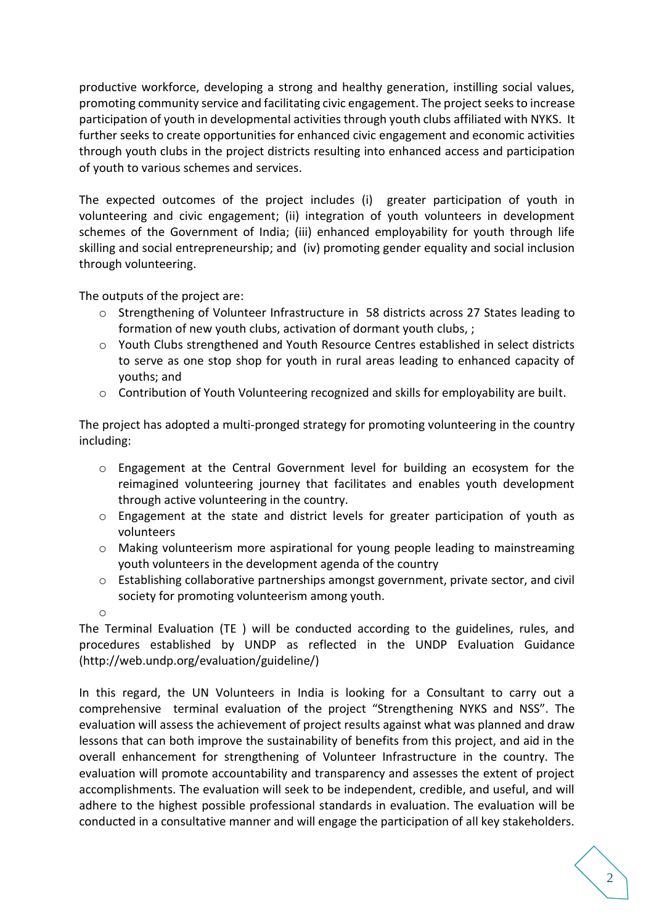productive workforce, developing a strong and healthy generation, instilling social values, promoting community service and facilitating civic engagement. The project seeks to increase participation of youth in developmental activities through youth clubs affiliated with NYKS. It further seeks to create opportunities for enhanced civic engagement and economic activities through youth clubs in the project districts resulting into enhanced access and participation of youth to various schemes and services.

The expected outcomes of the project includes (i) greater participation of youth in volunteering and civic engagement; (ii) integration of youth volunteers in development schemes of the Government of India; (iii) enhanced employability for youth through life skilling and social entrepreneurship; and (iv) promoting gender equality and social inclusion through volunteering.

The outputs of the project are:

- o Strengthening of Volunteer Infrastructure in 58 districts across 27 States leading to formation of new youth clubs, activation of dormant youth clubs, ;
- $\circ$  Youth Clubs strengthened and Youth Resource Centres established in select districts to serve as one stop shop for youth in rural areas leading to enhanced capacity of youths; and
- o Contribution of Youth Volunteering recognized and skills for employability are built.

The project has adopted a multi-pronged strategy for promoting volunteering in the country including:

- o Engagement at the Central Government level for building an ecosystem for the reimagined volunteering journey that facilitates and enables youth development through active volunteering in the country.
- $\circ$  Engagement at the state and district levels for greater participation of youth as volunteers
- o Making volunteerism more aspirational for young people leading to mainstreaming youth volunteers in the development agenda of the country
- $\circ$  Establishing collaborative partnerships amongst government, private sector, and civil society for promoting volunteerism among youth.
- o

The Terminal Evaluation (TE ) will be conducted according to the guidelines, rules, and procedures established by UNDP as reflected in the UNDP Evaluation Guidance (http://web.undp.org/evaluation/guideline/)

In this regard, the UN Volunteers in India is looking for a Consultant to carry out a comprehensive terminal evaluation of the project "Strengthening NYKS and NSS". The evaluation will assess the achievement of project results against what was planned and draw lessons that can both improve the sustainability of benefits from this project, and aid in the overall enhancement for strengthening of Volunteer Infrastructure in the country. The evaluation will promote accountability and transparency and assesses the extent of project accomplishments. The evaluation will seek to be independent, credible, and useful, and will adhere to the highest possible professional standards in evaluation. The evaluation will be conducted in a consultative manner and will engage the participation of all key stakeholders.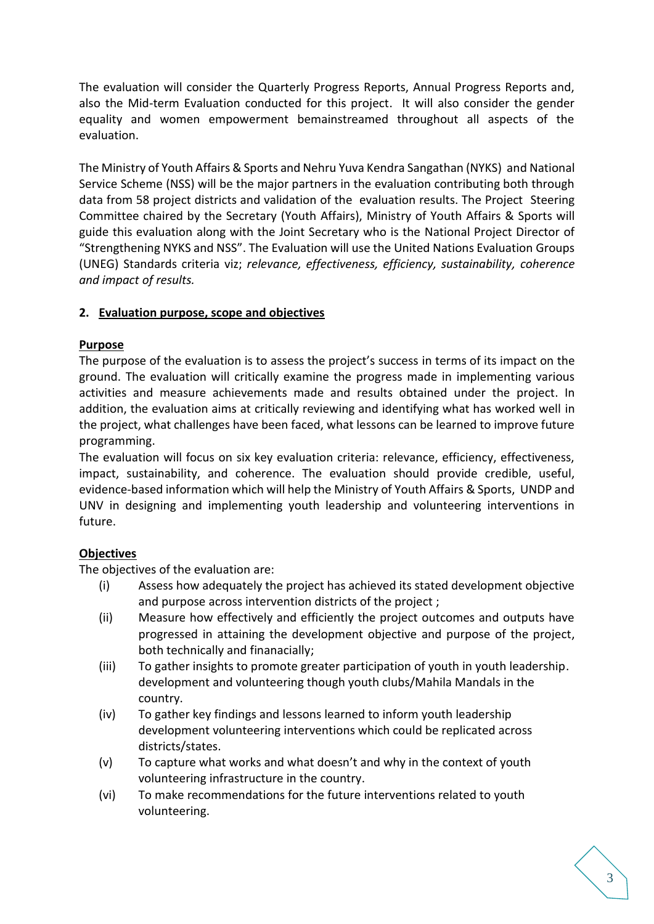The evaluation will consider the Quarterly Progress Reports, Annual Progress Reports and, also the Mid-term Evaluation conducted for this project. It will also consider the gender equality and women empowerment bemainstreamed throughout all aspects of the evaluation.

The Ministry of Youth Affairs & Sports and Nehru Yuva Kendra Sangathan (NYKS) and National Service Scheme (NSS) will be the major partners in the evaluation contributing both through data from 58 project districts and validation of the evaluation results. The Project Steering Committee chaired by the Secretary (Youth Affairs), Ministry of Youth Affairs & Sports will guide this evaluation along with the Joint Secretary who is the National Project Director of "Strengthening NYKS and NSS". The Evaluation will use the United Nations Evaluation Groups (UNEG) Standards criteria viz; *relevance, effectiveness, efficiency, sustainability, coherence and impact of results.*

## **2. Evaluation purpose, scope and objectives**

## **Purpose**

The purpose of the evaluation is to assess the project's success in terms of its impact on the ground. The evaluation will critically examine the progress made in implementing various activities and measure achievements made and results obtained under the project. In addition, the evaluation aims at critically reviewing and identifying what has worked well in the project, what challenges have been faced, what lessons can be learned to improve future programming.

The evaluation will focus on six key evaluation criteria: relevance, efficiency, effectiveness, impact, sustainability, and coherence. The evaluation should provide credible, useful, evidence-based information which will help the Ministry of Youth Affairs & Sports, UNDP and UNV in designing and implementing youth leadership and volunteering interventions in future.

### **Objectives**

The objectives of the evaluation are:

- (i) Assess how adequately the project has achieved its stated development objective and purpose across intervention districts of the project ;
- (ii) Measure how effectively and efficiently the project outcomes and outputs have progressed in attaining the development objective and purpose of the project, both technically and finanacially;
- (iii) To gather insights to promote greater participation of youth in youth leadership. development and volunteering though youth clubs/Mahila Mandals in the country.
- (iv) To gather key findings and lessons learned to inform youth leadership development volunteering interventions which could be replicated across districts/states.
- (v) To capture what works and what doesn't and why in the context of youth volunteering infrastructure in the country.
- (vi) To make recommendations for the future interventions related to youth volunteering.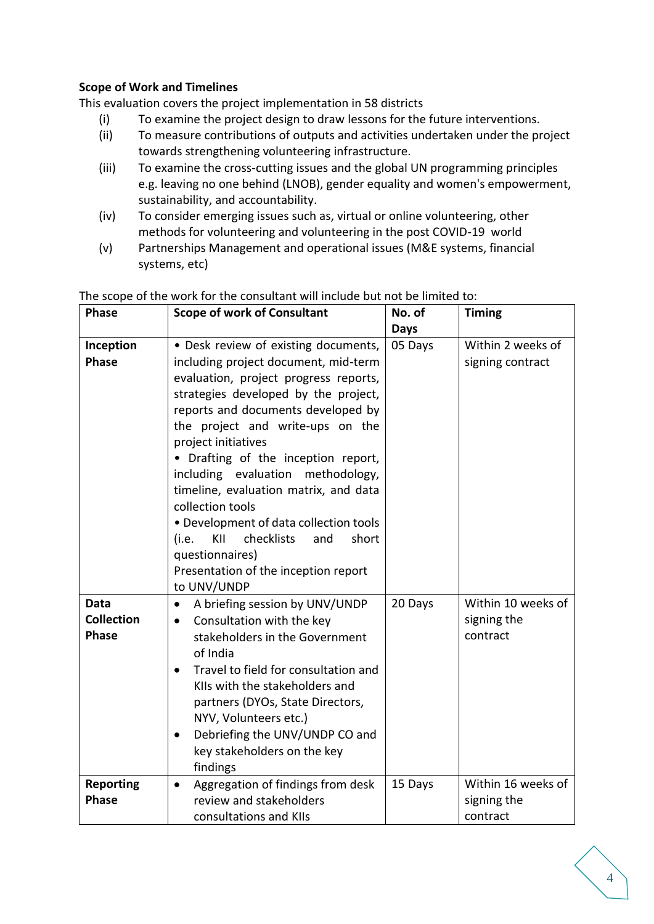## **Scope of Work and Timelines**

This evaluation covers the project implementation in 58 districts

- (i) To examine the project design to draw lessons for the future interventions.
- (ii) To measure contributions of outputs and activities undertaken under the project towards strengthening volunteering infrastructure.
- (iii) To examine the cross-cutting issues and the global UN programming principles e.g. leaving no one behind (LNOB), gender equality and women's empowerment, sustainability, and accountability.
- (iv) To consider emerging issues such as, virtual or online volunteering, other methods for volunteering and volunteering in the post COVID-19 world
- (v) Partnerships Management and operational issues (M&E systems, financial systems, etc)

| <b>Phase</b>      | <b>Scope of work of Consultant</b>             | No. of      | <b>Timing</b>      |
|-------------------|------------------------------------------------|-------------|--------------------|
|                   |                                                | <b>Days</b> |                    |
| Inception         | • Desk review of existing documents,           | 05 Days     | Within 2 weeks of  |
| <b>Phase</b>      | including project document, mid-term           |             | signing contract   |
|                   | evaluation, project progress reports,          |             |                    |
|                   | strategies developed by the project,           |             |                    |
|                   | reports and documents developed by             |             |                    |
|                   | the project and write-ups on the               |             |                    |
|                   | project initiatives                            |             |                    |
|                   | Drafting of the inception report,              |             |                    |
|                   | including evaluation methodology,              |             |                    |
|                   | timeline, evaluation matrix, and data          |             |                    |
|                   | collection tools                               |             |                    |
|                   | • Development of data collection tools         |             |                    |
|                   | checklists<br>short<br>KII<br>and<br>(i.e.     |             |                    |
|                   | questionnaires)                                |             |                    |
|                   | Presentation of the inception report           |             |                    |
|                   | to UNV/UNDP                                    |             |                    |
| Data              | A briefing session by UNV/UNDP<br>$\bullet$    | 20 Days     | Within 10 weeks of |
| <b>Collection</b> | Consultation with the key<br>$\bullet$         |             | signing the        |
| <b>Phase</b>      | stakeholders in the Government                 |             | contract           |
|                   | of India                                       |             |                    |
|                   | Travel to field for consultation and           |             |                    |
|                   | KIIs with the stakeholders and                 |             |                    |
|                   | partners (DYOs, State Directors,               |             |                    |
|                   | NYV, Volunteers etc.)                          |             |                    |
|                   | Debriefing the UNV/UNDP CO and<br>$\bullet$    |             |                    |
|                   | key stakeholders on the key                    |             |                    |
|                   | findings                                       |             |                    |
| <b>Reporting</b>  | Aggregation of findings from desk<br>$\bullet$ | 15 Days     | Within 16 weeks of |
| <b>Phase</b>      | review and stakeholders                        |             | signing the        |
|                   | consultations and KIIs                         |             | contract           |

#### The scope of the work for the consultant will include but not be limited to: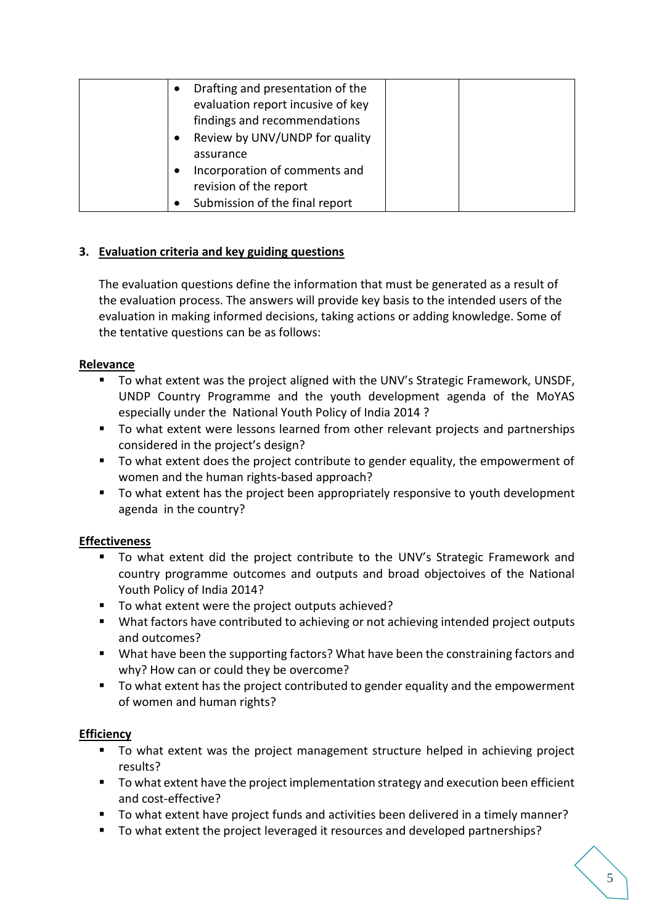| Drafting and presentation of the<br>$\bullet$ |  |
|-----------------------------------------------|--|
| evaluation report incusive of key             |  |
| findings and recommendations                  |  |
| Review by UNV/UNDP for quality                |  |
| assurance                                     |  |
| Incorporation of comments and<br>$\bullet$    |  |
| revision of the report                        |  |
| Submission of the final report                |  |

## **3. Evaluation criteria and key guiding questions**

The evaluation questions define the information that must be generated as a result of the evaluation process. The answers will provide key basis to the intended users of the evaluation in making informed decisions, taking actions or adding knowledge. Some of the tentative questions can be as follows:

### **Relevance**

- To what extent was the project aligned with the UNV's Strategic Framework, UNSDF, UNDP Country Programme and the youth development agenda of the MoYAS especially under the National Youth Policy of India 2014 ?
- To what extent were lessons learned from other relevant projects and partnerships considered in the project's design?
- To what extent does the project contribute to gender equality, the empowerment of women and the human rights-based approach?
- To what extent has the project been appropriately responsive to youth development agenda in the country?

### **Effectiveness**

- To what extent did the project contribute to the UNV's Strategic Framework and country programme outcomes and outputs and broad objectoives of the National Youth Policy of India 2014?
- To what extent were the project outputs achieved?
- What factors have contributed to achieving or not achieving intended project outputs and outcomes?
- What have been the supporting factors? What have been the constraining factors and why? How can or could they be overcome?
- To what extent has the project contributed to gender equality and the empowerment of women and human rights?

### **Efficiency**

- To what extent was the project management structure helped in achieving project results?
- To what extent have the project implementation strategy and execution been efficient and cost-effective?
- To what extent have project funds and activities been delivered in a timely manner?
- To what extent the project leveraged it resources and developed partnerships?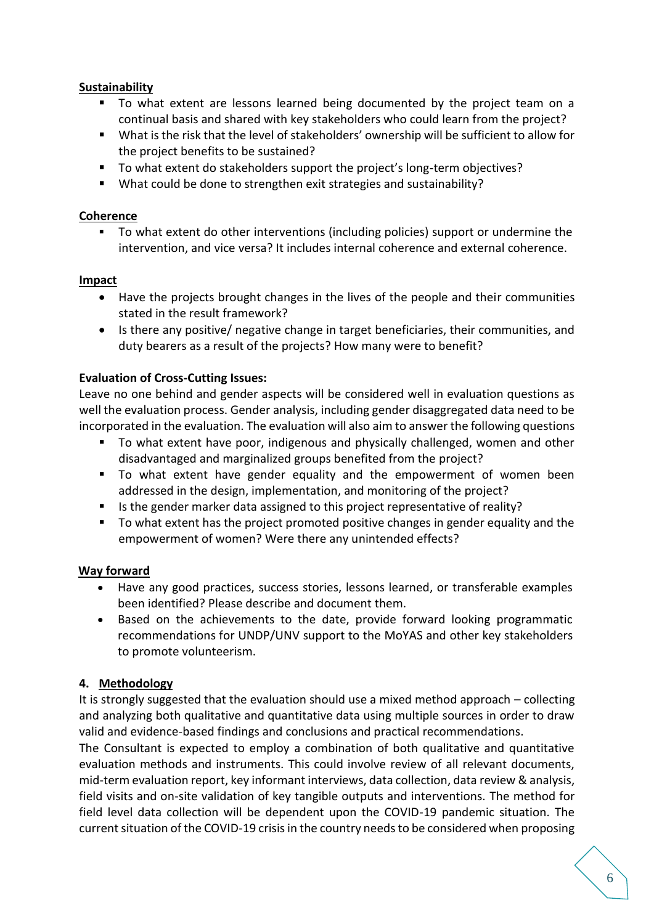### **Sustainability**

- To what extent are lessons learned being documented by the project team on a continual basis and shared with key stakeholders who could learn from the project?
- What is the risk that the level of stakeholders' ownership will be sufficient to allow for the project benefits to be sustained?
- To what extent do stakeholders support the project's long-term objectives?
- What could be done to strengthen exit strategies and sustainability?

#### **Coherence**

To what extent do other interventions (including policies) support or undermine the intervention, and vice versa? It includes internal coherence and external coherence.

#### **Impact**

- Have the projects brought changes in the lives of the people and their communities stated in the result framework?
- Is there any positive/ negative change in target beneficiaries, their communities, and duty bearers as a result of the projects? How many were to benefit?

### **Evaluation of Cross-Cutting Issues:**

Leave no one behind and gender aspects will be considered well in evaluation questions as well the evaluation process. Gender analysis, including gender disaggregated data need to be incorporated in the evaluation. The evaluation will also aim to answer the following questions

- To what extent have poor, indigenous and physically challenged, women and other disadvantaged and marginalized groups benefited from the project?
- To what extent have gender equality and the empowerment of women been addressed in the design, implementation, and monitoring of the project?
- Is the gender marker data assigned to this project representative of reality?
- To what extent has the project promoted positive changes in gender equality and the empowerment of women? Were there any unintended effects?

### **Way forward**

- Have any good practices, success stories, lessons learned, or transferable examples been identified? Please describe and document them.
- Based on the achievements to the date, provide forward looking programmatic recommendations for UNDP/UNV support to the MoYAS and other key stakeholders to promote volunteerism.

### **4. Methodology**

It is strongly suggested that the evaluation should use a mixed method approach – collecting and analyzing both qualitative and quantitative data using multiple sources in order to draw valid and evidence-based findings and conclusions and practical recommendations.

The Consultant is expected to employ a combination of both qualitative and quantitative evaluation methods and instruments. This could involve review of all relevant documents, mid-term evaluation report, key informant interviews, data collection, data review & analysis, field visits and on-site validation of key tangible outputs and interventions. The method for field level data collection will be dependent upon the COVID-19 pandemic situation. The current situation of the COVID-19 crisis in the country needs to be considered when proposing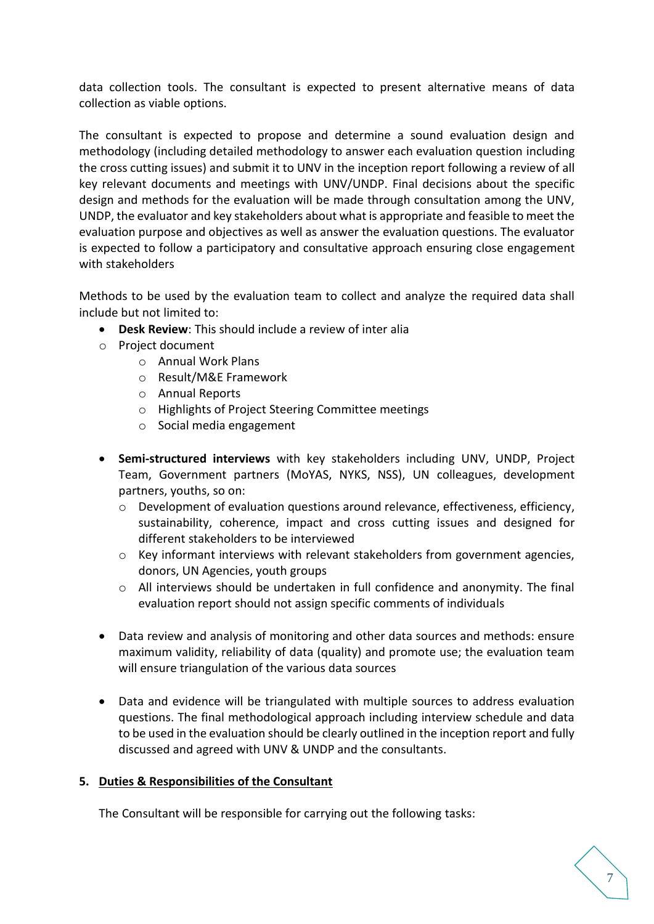data collection tools. The consultant is expected to present alternative means of data collection as viable options.

The consultant is expected to propose and determine a sound evaluation design and methodology (including detailed methodology to answer each evaluation question including the cross cutting issues) and submit it to UNV in the inception report following a review of all key relevant documents and meetings with UNV/UNDP. Final decisions about the specific design and methods for the evaluation will be made through consultation among the UNV, UNDP, the evaluator and key stakeholders about what is appropriate and feasible to meet the evaluation purpose and objectives as well as answer the evaluation questions. The evaluator is expected to follow a participatory and consultative approach ensuring close engagement with stakeholders

Methods to be used by the evaluation team to collect and analyze the required data shall include but not limited to:

- **Desk Review**: This should include a review of inter alia
- o Project document
	- o Annual Work Plans
	- o Result/M&E Framework
	- o Annual Reports
	- o Highlights of Project Steering Committee meetings
	- o Social media engagement
- **Semi-structured interviews** with key stakeholders including UNV, UNDP, Project Team, Government partners (MoYAS, NYKS, NSS), UN colleagues, development partners, youths, so on:
	- $\circ$  Development of evaluation questions around relevance, effectiveness, efficiency, sustainability, coherence, impact and cross cutting issues and designed for different stakeholders to be interviewed
	- o Key informant interviews with relevant stakeholders from government agencies, donors, UN Agencies, youth groups
	- $\circ$  All interviews should be undertaken in full confidence and anonymity. The final evaluation report should not assign specific comments of individuals
- Data review and analysis of monitoring and other data sources and methods: ensure maximum validity, reliability of data (quality) and promote use; the evaluation team will ensure triangulation of the various data sources
- Data and evidence will be triangulated with multiple sources to address evaluation questions. The final methodological approach including interview schedule and data to be used in the evaluation should be clearly outlined in the inception report and fully discussed and agreed with UNV & UNDP and the consultants.

### **5. Duties & Responsibilities of the Consultant**

The Consultant will be responsible for carrying out the following tasks: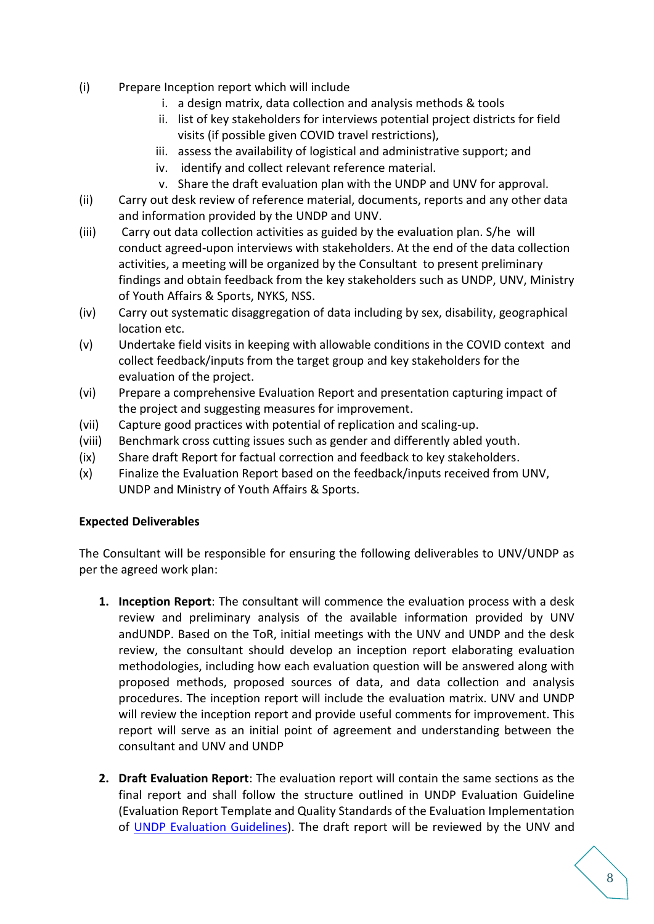- (i) Prepare Inception report which will include
	- i. a design matrix, data collection and analysis methods & tools
	- ii. list of key stakeholders for interviews potential project districts for field visits (if possible given COVID travel restrictions),
	- iii. assess the availability of logistical and administrative support; and
	- iv. identify and collect relevant reference material.
	- v. Share the draft evaluation plan with the UNDP and UNV for approval.
- (ii) Carry out desk review of reference material, documents, reports and any other data and information provided by the UNDP and UNV.
- (iii) Carry out data collection activities as guided by the evaluation plan. S/he will conduct agreed-upon interviews with stakeholders. At the end of the data collection activities, a meeting will be organized by the Consultant to present preliminary findings and obtain feedback from the key stakeholders such as UNDP, UNV, Ministry of Youth Affairs & Sports, NYKS, NSS.
- (iv) Carry out systematic disaggregation of data including by sex, disability, geographical location etc.
- (v) Undertake field visits in keeping with allowable conditions in the COVID context and collect feedback/inputs from the target group and key stakeholders for the evaluation of the project.
- (vi) Prepare a comprehensive Evaluation Report and presentation capturing impact of the project and suggesting measures for improvement.
- (vii) Capture good practices with potential of replication and scaling-up.
- (viii) Benchmark cross cutting issues such as gender and differently abled youth.
- (ix) Share draft Report for factual correction and feedback to key stakeholders.
- (x) Finalize the Evaluation Report based on the feedback/inputs received from UNV, UNDP and Ministry of Youth Affairs & Sports.

### **Expected Deliverables**

The Consultant will be responsible for ensuring the following deliverables to UNV/UNDP as per the agreed work plan:

- **1. Inception Report**: The consultant will commence the evaluation process with a desk review and preliminary analysis of the available information provided by UNV andUNDP. Based on the ToR, initial meetings with the UNV and UNDP and the desk review, the consultant should develop an inception report elaborating evaluation methodologies, including how each evaluation question will be answered along with proposed methods, proposed sources of data, and data collection and analysis procedures. The inception report will include the evaluation matrix. UNV and UNDP will review the inception report and provide useful comments for improvement. This report will serve as an initial point of agreement and understanding between the consultant and UNV and UNDP
- **2. Draft Evaluation Report**: The evaluation report will contain the same sections as the final report and shall follow the structure outlined in UNDP Evaluation Guideline (Evaluation Report Template and Quality Standards of the Evaluation Implementation of [UNDP Evaluation Guidelines\)](http://web.undp.org/evaluation/guideline/). The draft report will be reviewed by the UNV and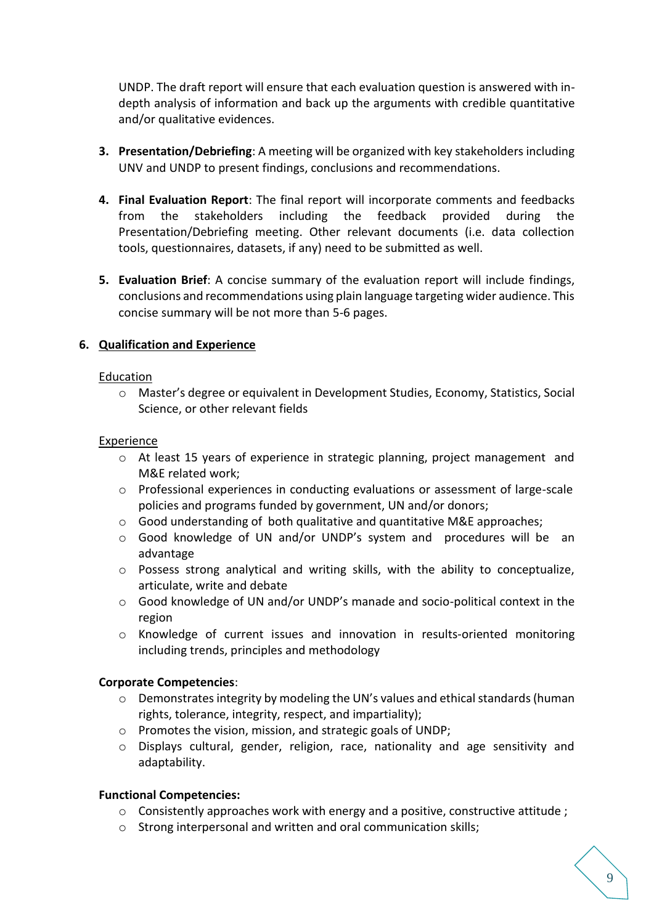UNDP. The draft report will ensure that each evaluation question is answered with indepth analysis of information and back up the arguments with credible quantitative and/or qualitative evidences.

- **3. Presentation/Debriefing**: A meeting will be organized with key stakeholders including UNV and UNDP to present findings, conclusions and recommendations.
- **4. Final Evaluation Report**: The final report will incorporate comments and feedbacks from the stakeholders including the feedback provided during the Presentation/Debriefing meeting. Other relevant documents (i.e. data collection tools, questionnaires, datasets, if any) need to be submitted as well.
- **5. Evaluation Brief**: A concise summary of the evaluation report will include findings, conclusions and recommendations using plain language targeting wider audience. This concise summary will be not more than 5-6 pages.

### **6. Qualification and Experience**

#### **Education**

o Master's degree or equivalent in Development Studies, Economy, Statistics, Social Science, or other relevant fields

#### Experience

- o At least 15 years of experience in strategic planning, project management and M&E related work;
- o Professional experiences in conducting evaluations or assessment of large-scale policies and programs funded by government, UN and/or donors;
- o Good understanding of both qualitative and quantitative M&E approaches;
- o Good knowledge of UN and/or UNDP's system and procedures will be an advantage
- o Possess strong analytical and writing skills, with the ability to conceptualize, articulate, write and debate
- o Good knowledge of UN and/or UNDP's manade and socio-political context in the region
- o Knowledge of current issues and innovation in results-oriented monitoring including trends, principles and methodology

#### **Corporate Competencies**:

- $\circ$  Demonstrates integrity by modeling the UN's values and ethical standards (human rights, tolerance, integrity, respect, and impartiality);
- o Promotes the vision, mission, and strategic goals of UNDP;
- $\circ$  Displays cultural, gender, religion, race, nationality and age sensitivity and adaptability.

#### **Functional Competencies:**

- $\circ$  Consistently approaches work with energy and a positive, constructive attitude ;
- o Strong interpersonal and written and oral communication skills;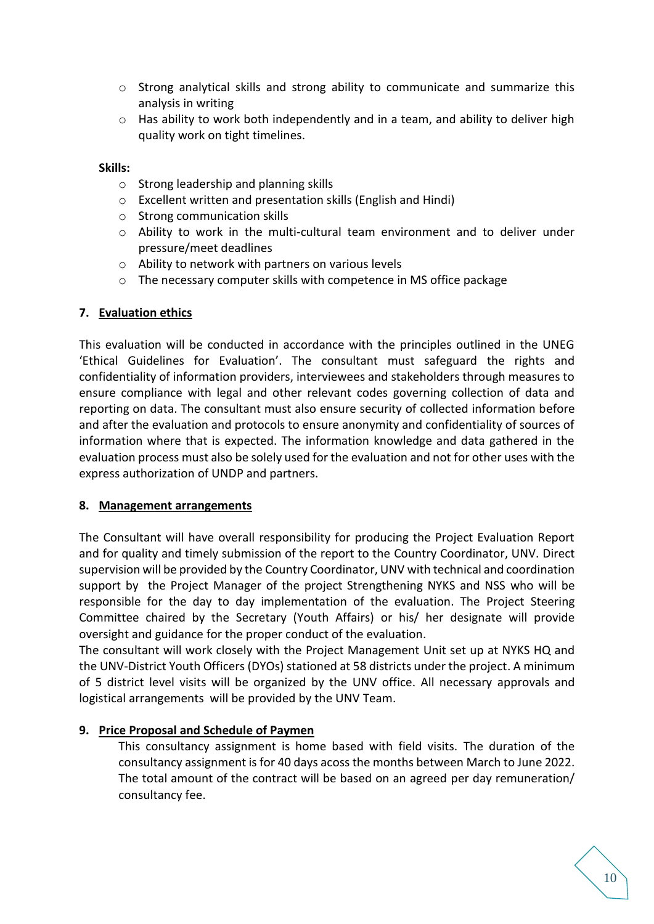- $\circ$  Strong analytical skills and strong ability to communicate and summarize this analysis in writing
- $\circ$  Has ability to work both independently and in a team, and ability to deliver high quality work on tight timelines.

#### **Skills:**

- o Strong leadership and planning skills
- o Excellent written and presentation skills (English and Hindi)
- o Strong communication skills
- o Ability to work in the multi-cultural team environment and to deliver under pressure/meet deadlines
- o Ability to network with partners on various levels
- o The necessary computer skills with competence in MS office package

### **7. Evaluation ethics**

This evaluation will be conducted in accordance with the principles outlined in the UNEG 'Ethical Guidelines for Evaluation'. The consultant must safeguard the rights and confidentiality of information providers, interviewees and stakeholders through measures to ensure compliance with legal and other relevant codes governing collection of data and reporting on data. The consultant must also ensure security of collected information before and after the evaluation and protocols to ensure anonymity and confidentiality of sources of information where that is expected. The information knowledge and data gathered in the evaluation process must also be solely used for the evaluation and not for other uses with the express authorization of UNDP and partners.

### **8. Management arrangements**

The Consultant will have overall responsibility for producing the Project Evaluation Report and for quality and timely submission of the report to the Country Coordinator, UNV. Direct supervision will be provided by the Country Coordinator, UNV with technical and coordination support by the Project Manager of the project Strengthening NYKS and NSS who will be responsible for the day to day implementation of the evaluation. The Project Steering Committee chaired by the Secretary (Youth Affairs) or his/ her designate will provide oversight and guidance for the proper conduct of the evaluation.

The consultant will work closely with the Project Management Unit set up at NYKS HQ and the UNV-District Youth Officers (DYOs) stationed at 58 districts under the project. A minimum of 5 district level visits will be organized by the UNV office. All necessary approvals and logistical arrangements will be provided by the UNV Team.

### **9. Price Proposal and Schedule of Paymen**

This consultancy assignment is home based with field visits. The duration of the consultancy assignment is for 40 days acoss the months between March to June 2022. The total amount of the contract will be based on an agreed per day remuneration/ consultancy fee.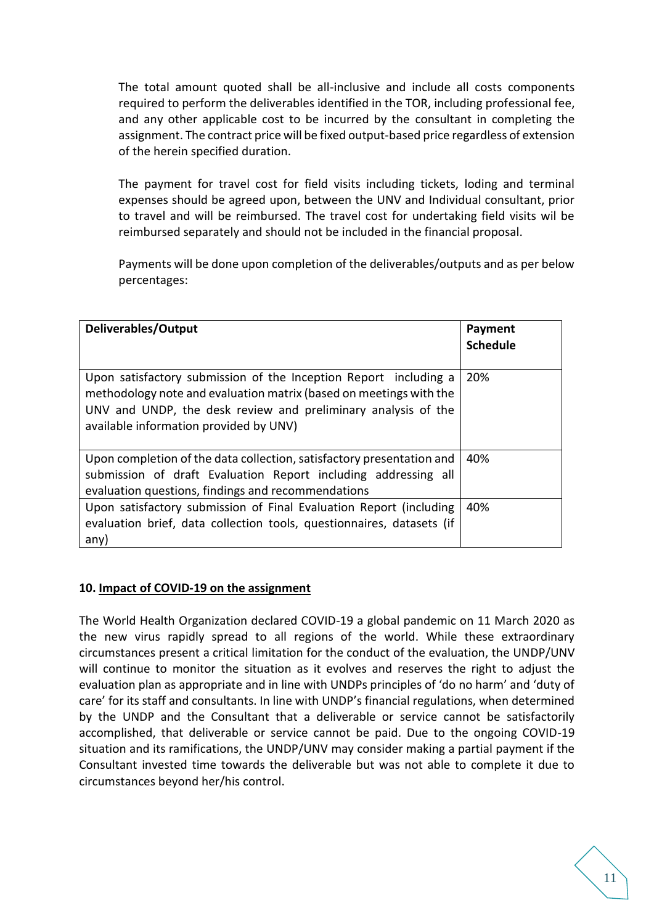The total amount quoted shall be all-inclusive and include all costs components required to perform the deliverables identified in the TOR, including professional fee, and any other applicable cost to be incurred by the consultant in completing the assignment. The contract price will be fixed output-based price regardless of extension of the herein specified duration.

The payment for travel cost for field visits including tickets, loding and terminal expenses should be agreed upon, between the UNV and Individual consultant, prior to travel and will be reimbursed. The travel cost for undertaking field visits wil be reimbursed separately and should not be included in the financial proposal.

Payments will be done upon completion of the deliverables/outputs and as per below percentages:

| Deliverables/Output                                                                                                                                                                                                                               | Payment<br><b>Schedule</b> |
|---------------------------------------------------------------------------------------------------------------------------------------------------------------------------------------------------------------------------------------------------|----------------------------|
| Upon satisfactory submission of the Inception Report including a<br>methodology note and evaluation matrix (based on meetings with the<br>UNV and UNDP, the desk review and preliminary analysis of the<br>available information provided by UNV) | 20%                        |
| Upon completion of the data collection, satisfactory presentation and<br>submission of draft Evaluation Report including addressing all<br>evaluation questions, findings and recommendations                                                     | 40%                        |
| Upon satisfactory submission of Final Evaluation Report (including<br>evaluation brief, data collection tools, questionnaires, datasets (if<br>any)                                                                                               | 40%                        |

#### **10. Impact of COVID-19 on the assignment**

The World Health Organization declared COVID-19 a global pandemic on 11 March 2020 as the new virus rapidly spread to all regions of the world. While these extraordinary circumstances present a critical limitation for the conduct of the evaluation, the UNDP/UNV will continue to monitor the situation as it evolves and reserves the right to adjust the evaluation plan as appropriate and in line with UNDPs principles of 'do no harm' and 'duty of care' for its staff and consultants. In line with UNDP's financial regulations, when determined by the UNDP and the Consultant that a deliverable or service cannot be satisfactorily accomplished, that deliverable or service cannot be paid. Due to the ongoing COVID-19 situation and its ramifications, the UNDP/UNV may consider making a partial payment if the Consultant invested time towards the deliverable but was not able to complete it due to circumstances beyond her/his control.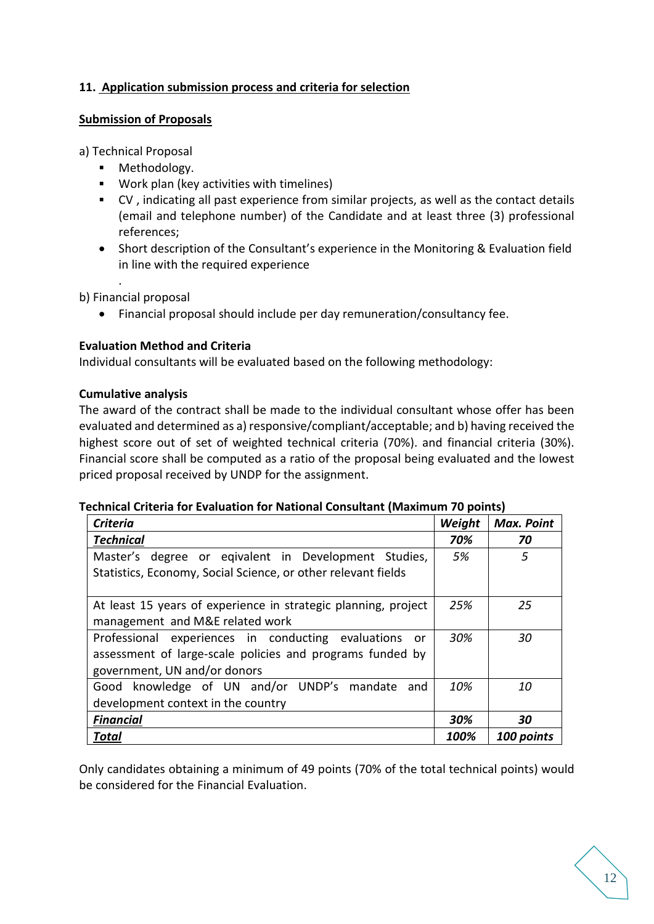## **11. Application submission process and criteria for selection**

#### **Submission of Proposals**

a) Technical Proposal

- Methodology.
- Work plan (key activities with timelines)
- CV , indicating all past experience from similar projects, as well as the contact details (email and telephone number) of the Candidate and at least three (3) professional references;
- Short description of the Consultant's experience in the Monitoring & Evaluation field in line with the required experience

b) Financial proposal

.

• Financial proposal should include per day remuneration/consultancy fee.

#### **Evaluation Method and Criteria**

Individual consultants will be evaluated based on the following methodology:

#### **Cumulative analysis**

The award of the contract shall be made to the individual consultant whose offer has been evaluated and determined as a) responsive/compliant/acceptable; and b) having received the highest score out of set of weighted technical criteria (70%). and financial criteria (30%). Financial score shall be computed as a ratio of the proposal being evaluated and the lowest priced proposal received by UNDP for the assignment.

#### **Technical Criteria for Evaluation for National Consultant (Maximum 70 points)**

| <b>Criteria</b>                                                |      | <b>Max. Point</b> |
|----------------------------------------------------------------|------|-------------------|
| <b>Technical</b>                                               | 70%  | 70                |
| Master's degree or eqivalent in Development Studies,           | 5%   | 5                 |
| Statistics, Economy, Social Science, or other relevant fields  |      |                   |
|                                                                |      |                   |
| At least 15 years of experience in strategic planning, project |      | 25                |
| management and M&E related work                                |      |                   |
| Professional experiences in conducting evaluations<br>or       | 30%  | 30                |
| assessment of large-scale policies and programs funded by      |      |                   |
| government, UN and/or donors                                   |      |                   |
| Good knowledge of UN and/or UNDP's mandate<br>and              | 10%  | 10                |
| development context in the country                             |      |                   |
| <b>Financial</b>                                               | 30%  | 30                |
| <b>Total</b>                                                   | 100% | 100 points        |

Only candidates obtaining a minimum of 49 points (70% of the total technical points) would be considered for the Financial Evaluation.